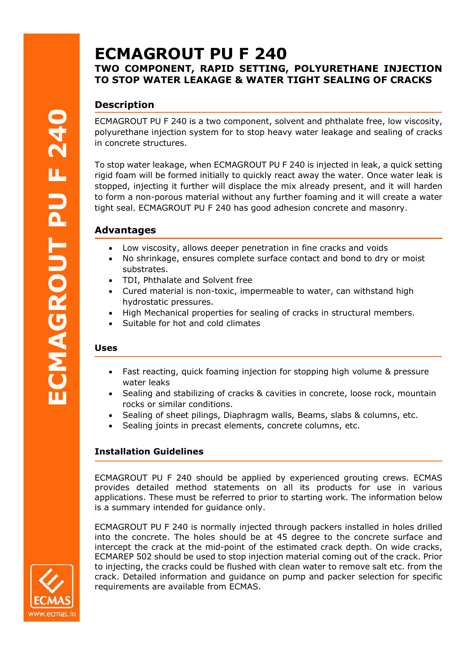# **ECMAGROUT PU F 240 TWO COMPONENT, RAPID SETTING, POLYURETHANE INJECTION TO STOP WATER LEAKAGE & WATER TIGHT SEALING OF CRACKS**

## **Description**

ECMAGROUT PU F 240 is a two component, solvent and phthalate free, low viscosity, polyurethane injection system for to stop heavy water leakage and sealing of cracks in concrete structures.

To stop water leakage, when ECMAGROUT PU F 240 is injected in leak, a quick setting rigid foam will be formed initially to quickly react away the water. Once water leak is stopped, injecting it further will displace the mix already present, and it will harden to form a non-porous material without any further foaming and it will create a water tight seal. ECMAGROUT PU F 240 has good adhesion concrete and masonry.

## **Advantages**

- Low viscosity, allows deeper penetration in fine cracks and voids
- No shrinkage, ensures complete surface contact and bond to dry or moist substrates.
- TDI, Phthalate and Solvent free
- Cured material is non-toxic, impermeable to water, can withstand high hydrostatic pressures.
- High Mechanical properties for sealing of cracks in structural members.
- Suitable for hot and cold climates

#### **Uses**

- Fast reacting, quick foaming injection for stopping high volume & pressure water leaks
- Sealing and stabilizing of cracks & cavities in concrete, loose rock, mountain rocks or similar conditions.
- Sealing of sheet pilings, Diaphragm walls, Beams, slabs & columns, etc.
- Sealing joints in precast elements, concrete columns, etc.

#### **Installation Guidelines**

ECMAGROUT PU F 240 should be applied by experienced grouting crews. ECMAS provides detailed method statements on all its products for use in various applications. These must be referred to prior to starting work. The information below is a summary intended for guidance only.

ECMAGROUT PU F 240 is normally injected through packers installed in holes drilled into the concrete. The holes should be at 45 degree to the concrete surface and intercept the crack at the mid-point of the estimated crack depth. On wide cracks, ECMAREP 502 should be used to stop injection material coming out of the crack. Prior to injecting, the cracks could be flushed with clean water to remove salt etc. from the crack. Detailed information and guidance on pump and packer selection for specific requirements are available from ECMAS.

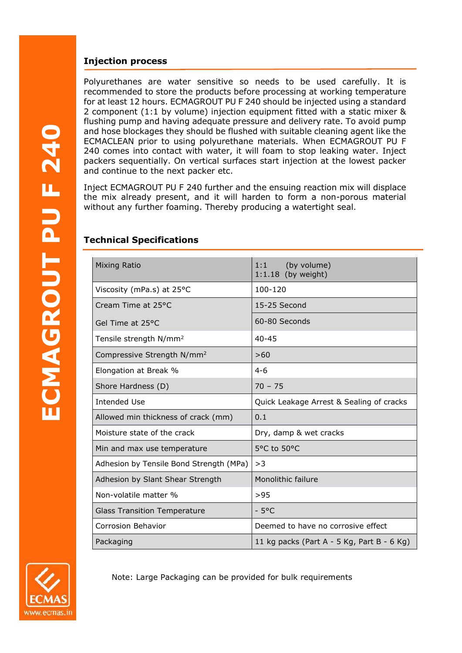#### **Injection process**

Polyurethanes are water sensitive so needs to be used carefully. It is recommended to store the products before processing at working temperature for at least 12 hours. ECMAGROUT PU F 240 should be injected using a standard 2 component (1:1 by volume) injection equipment fitted with a static mixer & flushing pump and having adequate pressure and delivery rate. To avoid pump and hose blockages they should be flushed with suitable cleaning agent like the ECMACLEAN prior to using polyurethane materials. When ECMAGROUT PU F 240 comes into contact with water, it will foam to stop leaking water. Inject packers sequentially. On vertical surfaces start injection at the lowest packer and continue to the next packer etc.

Inject ECMAGROUT PU F 240 further and the ensuing reaction mix will displace the mix already present, and it will harden to form a non-porous material without any further foaming. Thereby producing a watertight seal.

| <b>Technical Specifications</b> |
|---------------------------------|
|                                 |

| <b>Mixing Ratio</b>                     | (by volume)<br>1:1<br>$1:1.18$ (by weight) |
|-----------------------------------------|--------------------------------------------|
| Viscosity (mPa.s) at 25°C               | 100-120                                    |
| Cream Time at 25°C                      | 15-25 Second                               |
| Gel Time at 25°C                        | 60-80 Seconds                              |
| Tensile strength N/mm <sup>2</sup>      | $40 - 45$                                  |
| Compressive Strength N/mm <sup>2</sup>  | >60                                        |
| Elongation at Break %                   | $4 - 6$                                    |
| Shore Hardness (D)                      | $70 - 75$                                  |
| <b>Intended Use</b>                     | Quick Leakage Arrest & Sealing of cracks   |
| Allowed min thickness of crack (mm)     | 0.1                                        |
| Moisture state of the crack             | Dry, damp & wet cracks                     |
| Min and max use temperature             | 5°C to 50°C                                |
| Adhesion by Tensile Bond Strength (MPa) | >3                                         |
| Adhesion by Slant Shear Strength        | <b>Monolithic failure</b>                  |
| Non-volatile matter %                   | >95                                        |
| <b>Glass Transition Temperature</b>     | $-5^{\circ}$ C                             |
| <b>Corrosion Behavior</b>               | Deemed to have no corrosive effect         |
| Packaging                               | 11 kg packs (Part A - 5 Kg, Part B - 6 Kg) |



Note: Large Packaging can be provided for bulk requirements